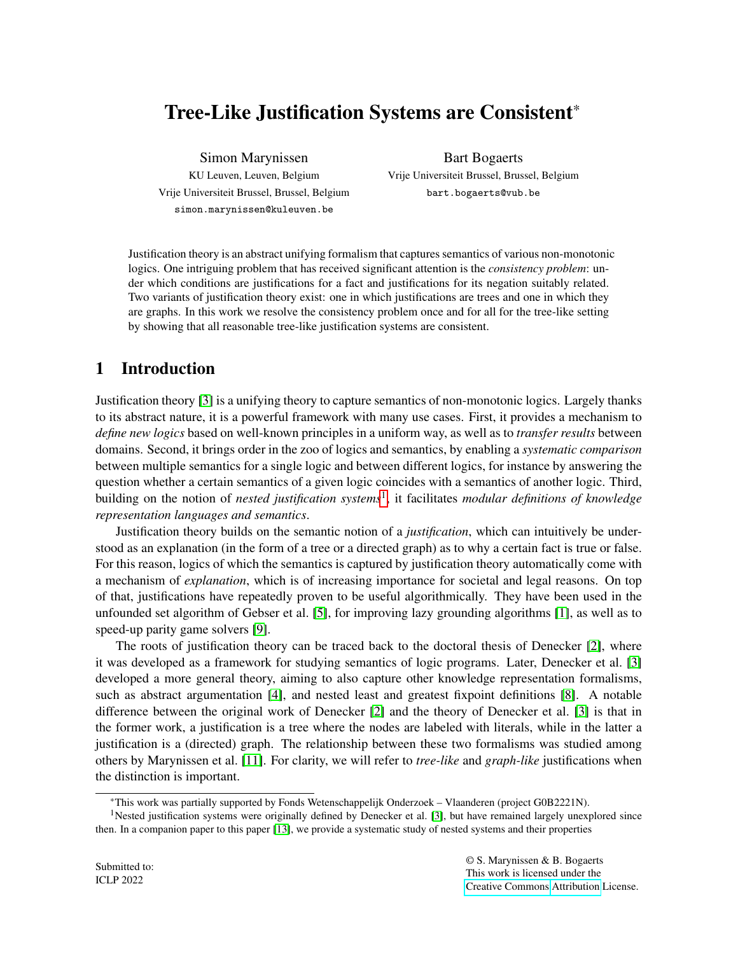# Tree-Like Justification Systems are Consistent\*

Simon Marynissen KU Leuven, Leuven, Belgium Vrije Universiteit Brussel, Brussel, Belgium simon.marynissen@kuleuven.be

Bart Bogaerts Vrije Universiteit Brussel, Brussel, Belgium bart.bogaerts@vub.be

Justification theory is an abstract unifying formalism that captures semantics of various non-monotonic logics. One intriguing problem that has received significant attention is the *consistency problem*: under which conditions are justifications for a fact and justifications for its negation suitably related. Two variants of justification theory exist: one in which justifications are trees and one in which they are graphs. In this work we resolve the consistency problem once and for all for the tree-like setting by showing that all reasonable tree-like justification systems are consistent.

## 1 Introduction

Justification theory [\[3\]](#page-9-0) is a unifying theory to capture semantics of non-monotonic logics. Largely thanks to its abstract nature, it is a powerful framework with many use cases. First, it provides a mechanism to *define new logics* based on well-known principles in a uniform way, as well as to *transfer results* between domains. Second, it brings order in the zoo of logics and semantics, by enabling a *systematic comparison* between multiple semantics for a single logic and between different logics, for instance by answering the question whether a certain semantics of a given logic coincides with a semantics of another logic. Third, building on the notion of *nested justification systems*[1](#page-0-0) , it facilitates *modular definitions of knowledge representation languages and semantics*.

Justification theory builds on the semantic notion of a *justification*, which can intuitively be understood as an explanation (in the form of a tree or a directed graph) as to why a certain fact is true or false. For this reason, logics of which the semantics is captured by justification theory automatically come with a mechanism of *explanation*, which is of increasing importance for societal and legal reasons. On top of that, justifications have repeatedly proven to be useful algorithmically. They have been used in the unfounded set algorithm of Gebser et al. [\[5\]](#page-10-0), for improving lazy grounding algorithms [\[1\]](#page-9-1), as well as to speed-up parity game solvers [\[9\]](#page-10-1).

The roots of justification theory can be traced back to the doctoral thesis of Denecker [\[2\]](#page-9-2), where it was developed as a framework for studying semantics of logic programs. Later, Denecker et al. [\[3\]](#page-9-0) developed a more general theory, aiming to also capture other knowledge representation formalisms, such as abstract argumentation [\[4\]](#page-9-3), and nested least and greatest fixpoint definitions [\[8\]](#page-10-2). A notable difference between the original work of Denecker [\[2\]](#page-9-2) and the theory of Denecker et al. [\[3\]](#page-9-0) is that in the former work, a justification is a tree where the nodes are labeled with literals, while in the latter a justification is a (directed) graph. The relationship between these two formalisms was studied among others by Marynissen et al. [\[11\]](#page-10-3). For clarity, we will refer to *tree-like* and *graph-like* justifications when the distinction is important.

<span id="page-0-0"></span><sup>\*</sup>This work was partially supported by Fonds Wetenschappelijk Onderzoek – Vlaanderen (project G0B2221N).

<sup>&</sup>lt;sup>1</sup>Nested justification systems were originally defined by Denecker et al. [\[3\]](#page-9-0), but have remained largely unexplored since then. In a companion paper to this paper [\[13\]](#page-10-4), we provide a systematic study of nested systems and their properties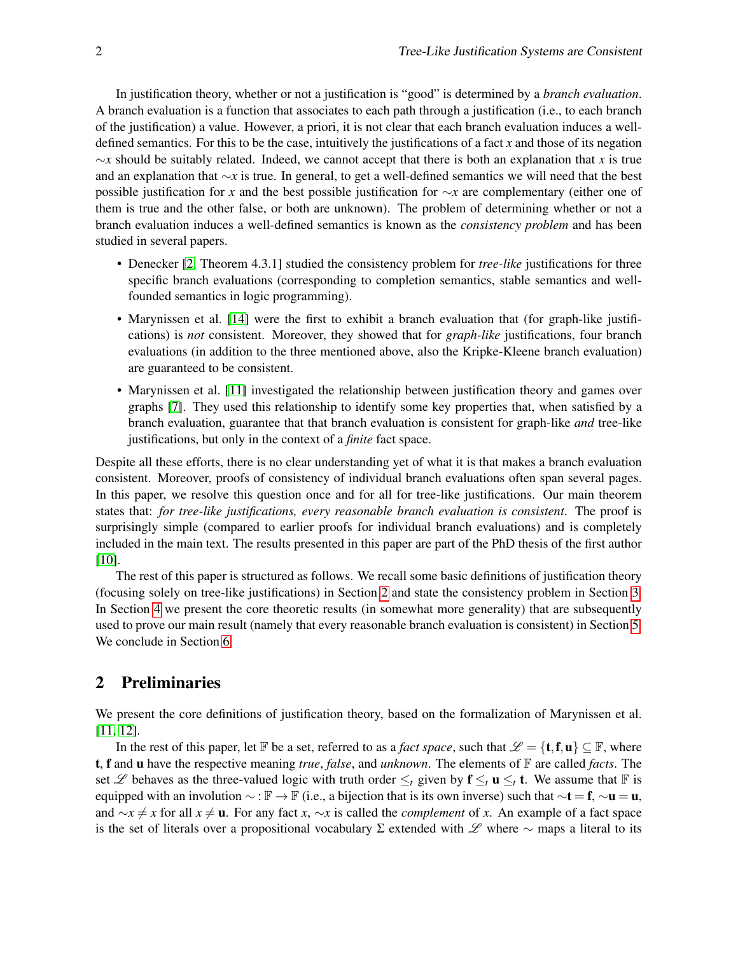In justification theory, whether or not a justification is "good" is determined by a *branch evaluation*. A branch evaluation is a function that associates to each path through a justification (i.e., to each branch of the justification) a value. However, a priori, it is not clear that each branch evaluation induces a welldefined semantics. For this to be the case, intuitively the justifications of a fact *x* and those of its negation ∼*x* should be suitably related. Indeed, we cannot accept that there is both an explanation that *x* is true and an explanation that ∼*x* is true. In general, to get a well-defined semantics we will need that the best possible justification for *x* and the best possible justification for ∼*x* are complementary (either one of them is true and the other false, or both are unknown). The problem of determining whether or not a branch evaluation induces a well-defined semantics is known as the *consistency problem* and has been studied in several papers.

- Denecker [\[2,](#page-9-2) Theorem 4.3.1] studied the consistency problem for *tree-like* justifications for three specific branch evaluations (corresponding to completion semantics, stable semantics and wellfounded semantics in logic programming).
- Marynissen et al. [\[14\]](#page-10-5) were the first to exhibit a branch evaluation that (for graph-like justifications) is *not* consistent. Moreover, they showed that for *graph-like* justifications, four branch evaluations (in addition to the three mentioned above, also the Kripke-Kleene branch evaluation) are guaranteed to be consistent.
- Marynissen et al. [\[11\]](#page-10-3) investigated the relationship between justification theory and games over graphs [\[7\]](#page-10-6). They used this relationship to identify some key properties that, when satisfied by a branch evaluation, guarantee that that branch evaluation is consistent for graph-like *and* tree-like justifications, but only in the context of a *finite* fact space.

Despite all these efforts, there is no clear understanding yet of what it is that makes a branch evaluation consistent. Moreover, proofs of consistency of individual branch evaluations often span several pages. In this paper, we resolve this question once and for all for tree-like justifications. Our main theorem states that: *for tree-like justifications, every reasonable branch evaluation is consistent*. The proof is surprisingly simple (compared to earlier proofs for individual branch evaluations) and is completely included in the main text. The results presented in this paper are part of the PhD thesis of the first author [\[10\]](#page-10-7).

The rest of this paper is structured as follows. We recall some basic definitions of justification theory (focusing solely on tree-like justifications) in Section [2](#page-1-0) and state the consistency problem in Section [3.](#page-4-0) In Section [4](#page-5-0) we present the core theoretic results (in somewhat more generality) that are subsequently used to prove our main result (namely that every reasonable branch evaluation is consistent) in Section [5.](#page-7-0) We conclude in Section [6.](#page-9-4)

## <span id="page-1-0"></span>2 Preliminaries

We present the core definitions of justification theory, based on the formalization of Marynissen et al. [\[11,](#page-10-3) [12\]](#page-10-8).

In the rest of this paper, let F be a set, referred to as a *fact space*, such that  $\mathscr{L} = \{\mathbf{t}, \mathbf{f}, \mathbf{u}\} \subseteq \mathbb{F}$ , where t, f and u have the respective meaning *true*, *false*, and *unknown*. The elements of F are called *facts*. The set L behaves as the three-valued logic with truth order  $\leq_t$  given by  $f \leq_t u \leq_t t$ . We assume that F is equipped with an involution  $\sim : \mathbb{F} \to \mathbb{F}$  (i.e., a bijection that is its own inverse) such that  $\sim t = f$ ,  $\sim u = u$ , and  $\sim x \neq x$  for all  $x \neq u$ . For any fact *x*,  $\sim x$  is called the *complement* of *x*. An example of a fact space is the set of literals over a propositional vocabulary Σ extended with L where  $\sim$  maps a literal to its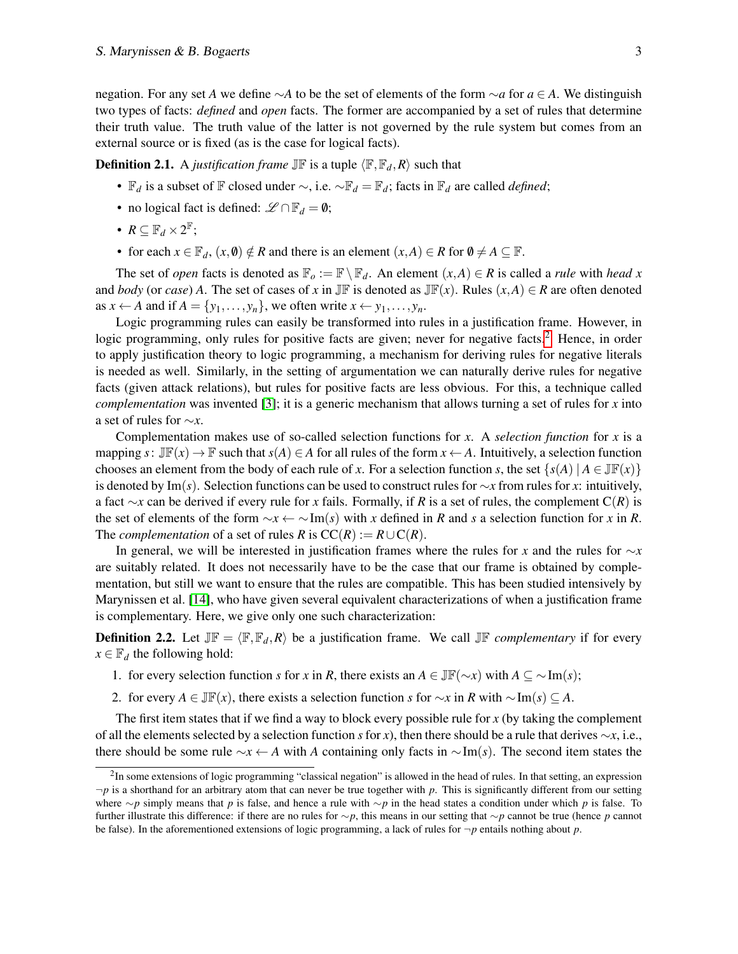negation. For any set *A* we define ∼*A* to be the set of elements of the form ∼*a* for *a* ∈ *A*. We distinguish two types of facts: *defined* and *open* facts. The former are accompanied by a set of rules that determine their truth value. The truth value of the latter is not governed by the rule system but comes from an external source or is fixed (as is the case for logical facts).

**Definition 2.1.** A *justification frame*  $\mathbb{J} \mathbb{F}$  is a tuple  $\langle \mathbb{F}, \mathbb{F}_d, R \rangle$  such that

- F*<sup>d</sup>* is a subset of F closed under ∼, i.e. ∼F*<sup>d</sup>* = F*d*; facts in F*<sup>d</sup>* are called *defined*;
- no logical fact is defined:  $\mathscr{L} \cap \mathbb{F}_d = \emptyset$ ;
- $R \subseteq \mathbb{F}_d \times 2^{\mathbb{F}}$ ;
- for each  $x \in \mathbb{F}_d$ ,  $(x, \emptyset) \notin R$  and there is an element  $(x, A) \in R$  for  $\emptyset \neq A \subseteq \mathbb{F}$ .

The set of *open* facts is denoted as  $\mathbb{F}_o := \mathbb{F} \setminus \mathbb{F}_d$ . An element  $(x, A) \in R$  is called a *rule* with *head* x and *body* (or *case*) *A*. The set of cases of *x* in JF is denoted as JF(*x*). Rules  $(x, A) \in R$  are often denoted as  $x \leftarrow A$  and if  $A = \{y_1, \ldots, y_n\}$ , we often write  $x \leftarrow y_1, \ldots, y_n$ .

Logic programming rules can easily be transformed into rules in a justification frame. However, in logic programming, only rules for positive facts are given; never for negative facts.<sup>[2](#page-2-0)</sup> Hence, in order to apply justification theory to logic programming, a mechanism for deriving rules for negative literals is needed as well. Similarly, in the setting of argumentation we can naturally derive rules for negative facts (given attack relations), but rules for positive facts are less obvious. For this, a technique called *complementation* was invented [\[3\]](#page-9-0); it is a generic mechanism that allows turning a set of rules for *x* into a set of rules for ∼*x*.

Complementation makes use of so-called selection functions for *x*. A *selection function* for *x* is a mapping  $s: \mathbb{J}\mathbb{F}(x) \to \mathbb{F}$  such that  $s(A) \in A$  for all rules of the form  $x \leftarrow A$ . Intuitively, a selection function chooses an element from the body of each rule of *x*. For a selection function *s*, the set  $\{s(A) | A \in \mathbb{J}\mathbb{F}(x)\}\$ is denoted by Im(*s*). Selection functions can be used to construct rules for ∼*x* from rules for *x*: intuitively, a fact ∼*x* can be derived if every rule for *x* fails. Formally, if *R* is a set of rules, the complement C(*R*) is the set of elements of the form ∼*x* ← ∼Im(*s*) with *x* defined in *R* and *s* a selection function for *x* in *R*. The *complementation* of a set of rules *R* is  $CC(R) := R \cup C(R)$ .

In general, we will be interested in justification frames where the rules for *x* and the rules for ∼*x* are suitably related. It does not necessarily have to be the case that our frame is obtained by complementation, but still we want to ensure that the rules are compatible. This has been studied intensively by Marynissen et al. [\[14\]](#page-10-5), who have given several equivalent characterizations of when a justification frame is complementary. Here, we give only one such characterization:

**Definition 2.2.** Let  $J\mathbb{F} = \langle \mathbb{F}, \mathbb{F}_d, R \rangle$  be a justification frame. We call  $J\mathbb{F}$  *complementary* if for every  $x \in \mathbb{F}_d$  the following hold:

- 1. for every selection function *s* for *x* in *R*, there exists an  $A \in \mathbb{JF}(\sim x)$  with  $A \subseteq \sim \text{Im}(s)$ ;
- 2. for every  $A \in \mathbb{J}\mathbb{F}(x)$ , there exists a selection function *s* for  $\sim x$  in *R* with  $\sim \text{Im}(s) \subseteq A$ .

The first item states that if we find a way to block every possible rule for *x* (by taking the complement of all the elements selected by a selection function *s* for *x*), then there should be a rule that derives ∼*x*, i.e., there should be some rule ∼*x* ← *A* with *A* containing only facts in ∼Im(*s*). The second item states the

<span id="page-2-0"></span> $2$ In some extensions of logic programming "classical negation" is allowed in the head of rules. In that setting, an expression  $\neg p$  is a shorthand for an arbitrary atom that can never be true together with p. This is significantly different from our setting where ∼*p* simply means that *p* is false, and hence a rule with ∼*p* in the head states a condition under which *p* is false. To further illustrate this difference: if there are no rules for ∼*p*, this means in our setting that ∼*p* cannot be true (hence *p* cannot be false). In the aforementioned extensions of logic programming, a lack of rules for  $\neg p$  entails nothing about p.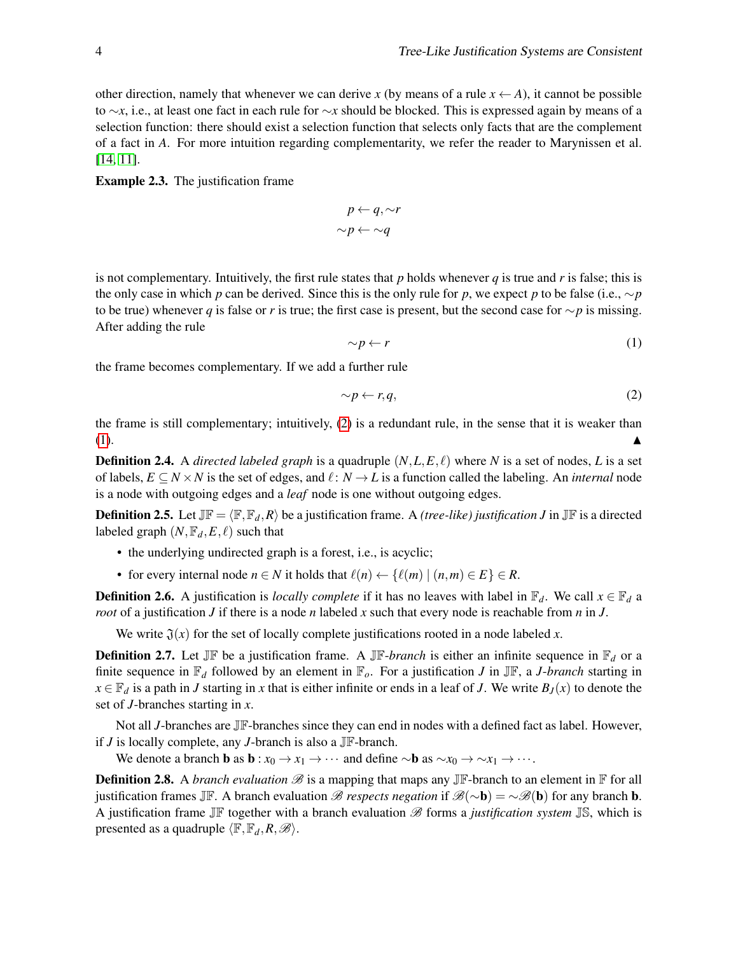other direction, namely that whenever we can derive *x* (by means of a rule  $x \leftarrow A$ ), it cannot be possible to ∼*x*, i.e., at least one fact in each rule for ∼*x* should be blocked. This is expressed again by means of a selection function: there should exist a selection function that selects only facts that are the complement of a fact in *A*. For more intuition regarding complementarity, we refer the reader to Marynissen et al. [\[14,](#page-10-5) [11\]](#page-10-3).

Example 2.3. The justification frame

$$
p \leftarrow q, \sim r
$$

$$
\sim p \leftarrow \sim q
$$

<span id="page-3-1"></span>is not complementary. Intuitively, the first rule states that  $p$  holds whenever  $q$  is true and  $r$  is false; this is the only case in which *p* can be derived. Since this is the only rule for *p*, we expect *p* to be false (i.e.,  $\sim p$ to be true) whenever *q* is false or *r* is true; the first case is present, but the second case for  $\sim p$  is missing. After adding the rule

<span id="page-3-0"></span>
$$
\sim p \leftarrow r \tag{1}
$$

the frame becomes complementary. If we add a further rule

$$
\sim p \leftarrow r, q,\tag{2}
$$

the frame is still complementary; intuitively, [\(2\)](#page-3-0) is a redundant rule, in the sense that it is weaker than  $(1).$  $(1).$ 

**Definition 2.4.** A *directed labeled graph* is a quadruple  $(N, L, E, \ell)$  where *N* is a set of nodes, *L* is a set of labels,  $E \subseteq N \times N$  is the set of edges, and  $\ell : N \to L$  is a function called the labeling. An *internal* node is a node with outgoing edges and a *leaf* node is one without outgoing edges.

**Definition 2.5.** Let  $J\mathbb{F} = \langle \mathbb{F}, \mathbb{F}_d, R \rangle$  be a justification frame. A *(tree-like) justification J* in  $J\mathbb{F}$  is a directed labeled graph  $(N, \mathbb{F}_d, E, \ell)$  such that

- the underlying undirected graph is a forest, i.e., is acyclic;
- for every internal node  $n \in N$  it holds that  $\ell(n) \leftarrow {\ell(m) | (n,m) \in E} \in R$ .

**Definition 2.6.** A justification is *locally complete* if it has no leaves with label in  $\mathbb{F}_d$ . We call  $x \in \mathbb{F}_d$  a *root* of a justification *J* if there is a node *n* labeled *x* such that every node is reachable from *n* in *J*.

We write  $\mathfrak{J}(x)$  for the set of locally complete justifications rooted in a node labeled x.

**Definition 2.7.** Let JF be a justification frame. A JF-*branch* is either an infinite sequence in  $\mathbb{F}_d$  or a finite sequence in  $\mathbb{F}_d$  followed by an element in  $\mathbb{F}_o$ . For a justification *J* in JF, a *J-branch* starting in  $x \in \mathbb{F}_d$  is a path in *J* starting in *x* that is either infinite or ends in a leaf of *J*. We write  $B_J(x)$  to denote the set of *J*-branches starting in *x*.

Not all *J*-branches are JF-branches since they can end in nodes with a defined fact as label. However, if *J* is locally complete, any *J*-branch is also a JF-branch.

We denote a branch **b** as  $\mathbf{b}$  :  $x_0 \to x_1 \to \cdots$  and define  $\sim \mathbf{b}$  as  $\sim x_0 \to \sim x_1 \to \cdots$ .

**Definition 2.8.** A *branch evaluation*  $\mathscr{B}$  is a mapping that maps any JF-branch to an element in  $\mathbb{F}$  for all justification frames JF. A branch evaluation *B respects negation* if  $\mathscr{B}(\sim\mathbf{b}) = \sim \mathscr{B}(\mathbf{b})$  for any branch **b**. A justification frame  $J\mathbb{F}$  together with a branch evaluation  $\mathscr{B}$  forms a *justification system*  $J\mathbb{S}$ , which is presented as a quadruple  $\langle \mathbb{F}, \mathbb{F}_d, R, \mathcal{B} \rangle$ .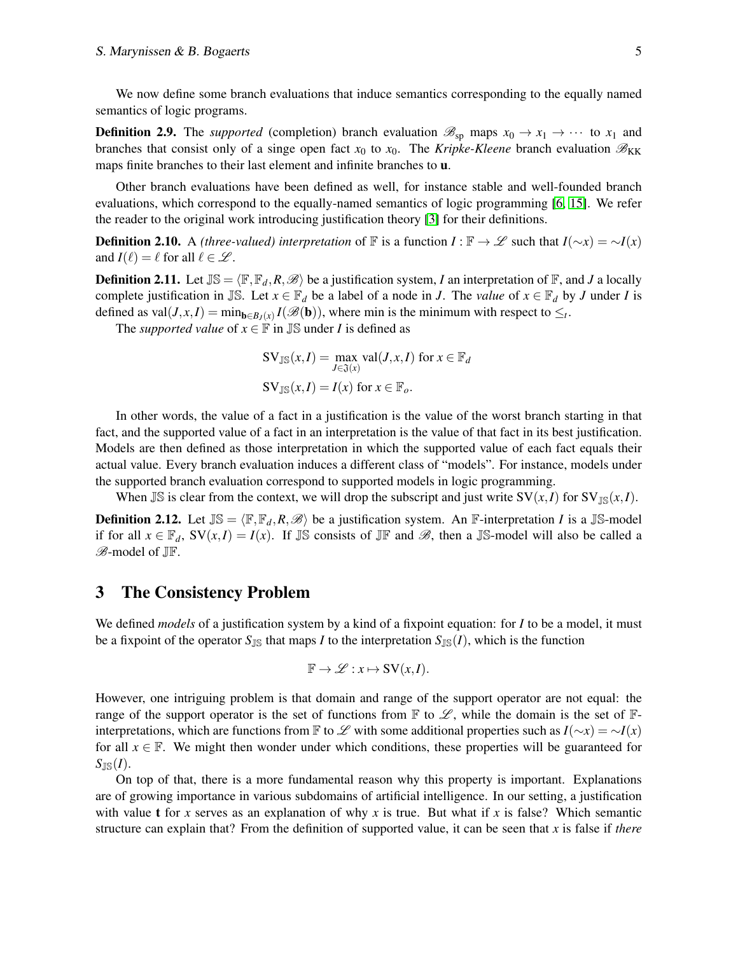We now define some branch evaluations that induce semantics corresponding to the equally named semantics of logic programs.

**Definition 2.9.** The *supported* (completion) branch evaluation  $\mathcal{B}_{sp}$  maps  $x_0 \to x_1 \to \cdots$  to  $x_1$  and branches that consist only of a singe open fact  $x_0$  to  $x_0$ . The *Kripke-Kleene* branch evaluation  $\mathcal{B}_{KK}$ maps finite branches to their last element and infinite branches to u.

Other branch evaluations have been defined as well, for instance stable and well-founded branch evaluations, which correspond to the equally-named semantics of logic programming [\[6,](#page-10-9) [15\]](#page-10-10). We refer the reader to the original work introducing justification theory [\[3\]](#page-9-0) for their definitions.

**Definition 2.10.** A *(three-valued) interpretation* of  $\mathbb{F}$  is a function  $I : \mathbb{F} \to \mathscr{L}$  such that  $I(\sim x) = \sim I(x)$ and  $I(\ell) = \ell$  for all  $\ell \in \mathcal{L}$ .

**Definition 2.11.** Let  $\mathbb{J}\mathbb{S} = \langle \mathbb{F}, \mathbb{F}_d, R, \mathcal{B} \rangle$  be a justification system, *I* an interpretation of  $\mathbb{F}$ , and *J* a locally complete justification in JS. Let  $x \in \mathbb{F}_d$  be a label of a node in *J*. The *value* of  $x \in \mathbb{F}_d$  by *J* under *I* is defined as val $(J, x, I) = \min_{\mathbf{b} \in B_J(x)} I(\mathscr{B}(\mathbf{b}))$ , where min is the minimum with respect to  $\leq_t$ .

The *supported value* of  $x \in \mathbb{F}$  in  $\mathbb{J}$  under *I* is defined as

$$
SV_{\mathbb{JS}}(x, I) = \max_{J \in \mathfrak{J}(x)} val(J, x, I) \text{ for } x \in \mathbb{F}_d
$$
  

$$
SV_{\mathbb{JS}}(x, I) = I(x) \text{ for } x \in \mathbb{F}_o.
$$

In other words, the value of a fact in a justification is the value of the worst branch starting in that fact, and the supported value of a fact in an interpretation is the value of that fact in its best justification. Models are then defined as those interpretation in which the supported value of each fact equals their actual value. Every branch evaluation induces a different class of "models". For instance, models under the supported branch evaluation correspond to supported models in logic programming.

When JS is clear from the context, we will drop the subscript and just write  $SV(x, I)$  for  $SV_{\text{IS}}(x, I)$ .

**Definition 2.12.** Let  $\mathbb{JS} = \langle \mathbb{F}, \mathbb{F}_d, R, \mathcal{B} \rangle$  be a justification system. An F-interpretation *I* is a JS-model if for all  $x \in \mathbb{F}_d$ ,  $SV(x, I) = I(x)$ . If  $\mathbb{IS}$  consists of  $\mathbb{IF}$  and  $\mathscr{B}$ , then a  $\mathbb{IS}$ -model will also be called a B-model of JF.

### <span id="page-4-0"></span>3 The Consistency Problem

We defined *models* of a justification system by a kind of a fixpoint equation: for *I* to be a model, it must be a fixpoint of the operator  $S_{\text{JS}}$  that maps *I* to the interpretation  $S_{\text{JS}}(I)$ , which is the function

$$
\mathbb{F} \to \mathscr{L} : x \mapsto SV(x,I).
$$

However, one intriguing problem is that domain and range of the support operator are not equal: the range of the support operator is the set of functions from  $\mathbb F$  to  $\mathscr L$ , while the domain is the set of  $\mathbb F$ interpretations, which are functions from F to L with some additional properties such as  $I(\sim x) = \sim I(x)$ for all  $x \in \mathbb{F}$ . We might then wonder under which conditions, these properties will be guaranteed for  $S_{\mathbb{JS}}(I).$ 

On top of that, there is a more fundamental reason why this property is important. Explanations are of growing importance in various subdomains of artificial intelligence. In our setting, a justification with value t for *x* serves as an explanation of why *x* is true. But what if *x* is false? Which semantic structure can explain that? From the definition of supported value, it can be seen that *x* is false if *there*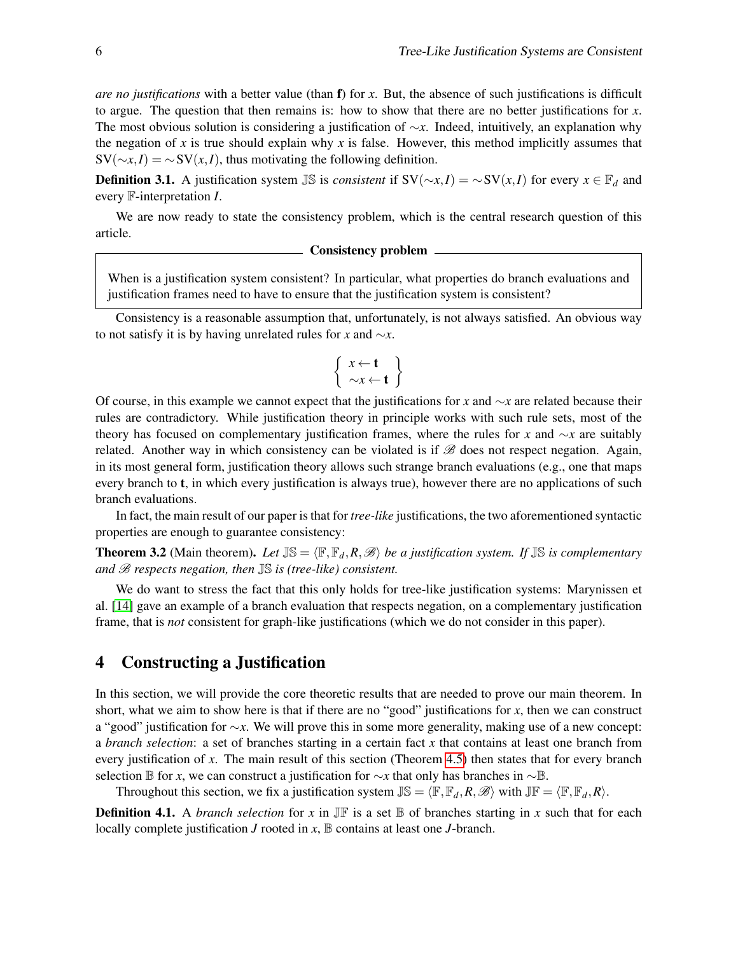*are no justifications* with a better value (than f) for *x*. But, the absence of such justifications is difficult to argue. The question that then remains is: how to show that there are no better justifications for *x*. The most obvious solution is considering a justification of ∼*x*. Indeed, intuitively, an explanation why the negation of *x* is true should explain why *x* is false. However, this method implicitly assumes that  $SV(\sim x, I) = \sim SV(x, I)$ , thus motivating the following definition.

**Definition 3.1.** A justification system  $\mathbb{IS}$  is *consistent* if  $SV(\sim x, I) = \sim SV(x, I)$  for every  $x \in \mathbb{F}_d$  and every F-interpretation *I*.

We are now ready to state the consistency problem, which is the central research question of this article.

#### Consistency problem

When is a justification system consistent? In particular, what properties do branch evaluations and justification frames need to have to ensure that the justification system is consistent?

Consistency is a reasonable assumption that, unfortunately, is not always satisfied. An obvious way to not satisfy it is by having unrelated rules for *x* and ∼*x*.

$$
\left\{\begin{array}{c} x \leftarrow t \\ \sim x \leftarrow t \end{array}\right\}
$$

Of course, in this example we cannot expect that the justifications for *x* and ∼*x* are related because their rules are contradictory. While justification theory in principle works with such rule sets, most of the theory has focused on complementary justification frames, where the rules for *x* and ∼*x* are suitably related. Another way in which consistency can be violated is if  $\mathscr B$  does not respect negation. Again, in its most general form, justification theory allows such strange branch evaluations (e.g., one that maps every branch to **t**, in which every justification is always true), however there are no applications of such branch evaluations.

In fact, the main result of our paper is that for *tree-like* justifications, the two aforementioned syntactic properties are enough to guarantee consistency:

<span id="page-5-1"></span>**Theorem 3.2** (Main theorem). Let  $\mathbb{J}\mathbb{S} = \langle \mathbb{F}, \mathbb{F}_d, R, \mathcal{B} \rangle$  be a justification system. If  $\mathbb{J}\mathbb{S}$  is complementary *and* B *respects negation, then* JS *is (tree-like) consistent.*

We do want to stress the fact that this only holds for tree-like justification systems: Marynissen et al. [\[14\]](#page-10-5) gave an example of a branch evaluation that respects negation, on a complementary justification frame, that is *not* consistent for graph-like justifications (which we do not consider in this paper).

### <span id="page-5-0"></span>4 Constructing a Justification

In this section, we will provide the core theoretic results that are needed to prove our main theorem. In short, what we aim to show here is that if there are no "good" justifications for *x*, then we can construct a "good" justification for ∼*x*. We will prove this in some more generality, making use of a new concept: a *branch selection*: a set of branches starting in a certain fact *x* that contains at least one branch from every justification of *x*. The main result of this section (Theorem [4.5\)](#page-6-0) then states that for every branch selection B for *x*, we can construct a justification for ∼*x* that only has branches in ∼B.

Throughout this section, we fix a justification system  $\mathbb{JS} = \langle \mathbb{F}, \mathbb{F}_d, R, \mathcal{B} \rangle$  with  $\mathbb{JF} = \langle \mathbb{F}, \mathbb{F}_d, R \rangle$ .

**Definition 4.1.** A *branch selection* for *x* in  $J\mathbb{F}$  is a set  $\mathbb{B}$  of branches starting in *x* such that for each locally complete justification  $J$  rooted in  $x$ ,  $\mathbb B$  contains at least one  $J$ -branch.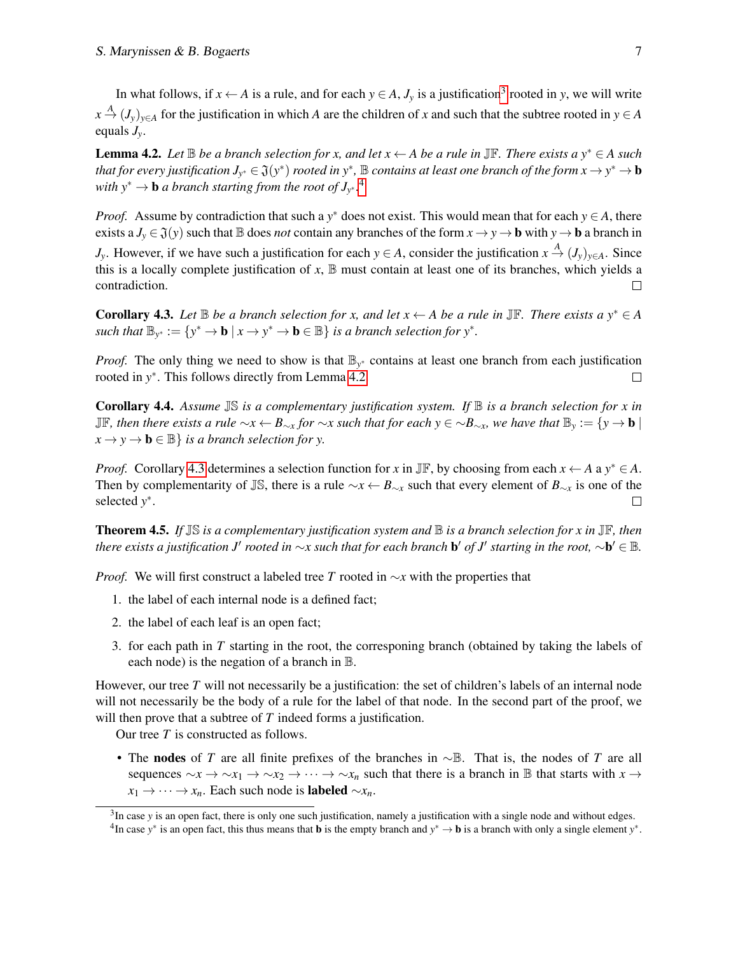In what follows, if  $x \leftarrow A$  is a rule, and for each  $y \in A$ ,  $J_y$  is a justification<sup>[3](#page-6-1)</sup> rooted in *y*, we will write  $x \stackrel{A}{\rightarrow} (J_y)_{y \in A}$  for the justification in which *A* are the children of *x* and such that the subtree rooted in  $y \in A$ equals *Jy*.

<span id="page-6-3"></span>**Lemma 4.2.** *Let*  $\mathbb B$  *be a branch selection for x, and let*  $x \leftarrow A$  *be a rule in* JF. *There exists a*  $y^* \in A$  *such* that for every justification  $J_{y^*} \in \mathfrak{J}(y^*)$  rooted in  $y^*$ ,  $\mathbb B$  contains at least one branch of the form  $x \to y^* \to \mathbf{b}$ with  $y^* \to b$  *a branch starting from the root of*  $J_{y^*}$ .<sup>[4](#page-6-2)</sup>

*Proof.* Assume by contradiction that such a  $y^*$  does not exist. This would mean that for each  $y \in A$ , there exists a  $J_y \in \mathfrak{J}(y)$  such that  $\mathbb B$  does *not* contain any branches of the form  $x \to y \to b$  with  $y \to b$  a branch in

*J*<sub>*y*</sub>. However, if we have such a justification for each  $y \in A$ , consider the justification  $x \stackrel{A}{\to} (J_y)_{y \in A}$ . Since this is a locally complete justification of  $x$ ,  $\mathbb B$  must contain at least one of its branches, which yields a contradiction.  $\Box$ 

<span id="page-6-4"></span>**Corollary 4.3.** *Let*  $\mathbb B$  *be a branch selection for x, and let*  $x \leftarrow A$  *be a rule in*  $\mathbb J\mathbb F$ *. There exists a*  $y^* \in A$  $\mathbf{B}_{\mathbf{y}^*} := \{ \mathbf{y}^* \to \mathbf{b} \mid \mathbf{x} \to \mathbf{y}^* \to \mathbf{b} \in \mathbb{B} \}$  *is a branch selection for*  $\mathbf{y}^*$ .

*Proof.* The only thing we need to show is that  $\mathbb{B}_{y^*}$  contains at least one branch from each justification rooted in *y* ∗ . This follows directly from Lemma [4.2.](#page-6-3)  $\Box$ 

<span id="page-6-5"></span>Corollary 4.4. *Assume* JS *is a complementary justification system. If* B *is a branch selection for x in* JF*, then there exists a rule* ∼*x* ← *B*∼*<sup>x</sup> for* ∼*x such that for each y* ∈ ∼*B*∼*x, we have that* B*<sup>y</sup>* := {*y* → b |  $x \rightarrow y \rightarrow b \in \mathbb{B}$  *is a branch selection for y.* 

*Proof.* Corollary [4.3](#page-6-4) determines a selection function for *x* in JF, by choosing from each  $x \leftarrow A$  a  $y^* \in A$ . Then by complementarity of JS, there is a rule  $\sim x \leftarrow B_{\sim x}$  such that every element of  $B_{\sim x}$  is one of the selected *y* ∗ .  $\Box$ 

<span id="page-6-0"></span>Theorem 4.5. *If* JS *is a complementary justification system and* B *is a branch selection for x in* JF*, then there exists a justification J' rooted in* ∼*x such that for each branch* **b'** *of J' starting in the root,* ∼**b'** ∈  $\mathbb B$ .

*Proof.* We will first construct a labeled tree *T* rooted in ∼*x* with the properties that

- 1. the label of each internal node is a defined fact;
- 2. the label of each leaf is an open fact;
- 3. for each path in *T* starting in the root, the corresponing branch (obtained by taking the labels of each node) is the negation of a branch in B.

However, our tree *T* will not necessarily be a justification: the set of children's labels of an internal node will not necessarily be the body of a rule for the label of that node. In the second part of the proof, we will then prove that a subtree of *T* indeed forms a justification.

Our tree *T* is constructed as follows.

• The nodes of *T* are all finite prefixes of the branches in ∼B. That is, the nodes of *T* are all sequences  $\sim x \rightarrow \sim x_1 \rightarrow \sim x_2 \rightarrow \cdots \rightarrow \sim x_n$  such that there is a branch in B that starts with  $x \rightarrow$  $x_1 \rightarrow \cdots \rightarrow x_n$ . Each such node is **labeled**  $\sim x_n$ .

<span id="page-6-2"></span><span id="page-6-1"></span><sup>&</sup>lt;sup>3</sup>In case *y* is an open fact, there is only one such justification, namely a justification with a single node and without edges. <sup>4</sup>In case *y*<sup>\*</sup> is an open fact, this thus means that **b** is the empty branch and  $y^* \to b$  is a branch with only a single element  $y^*$ .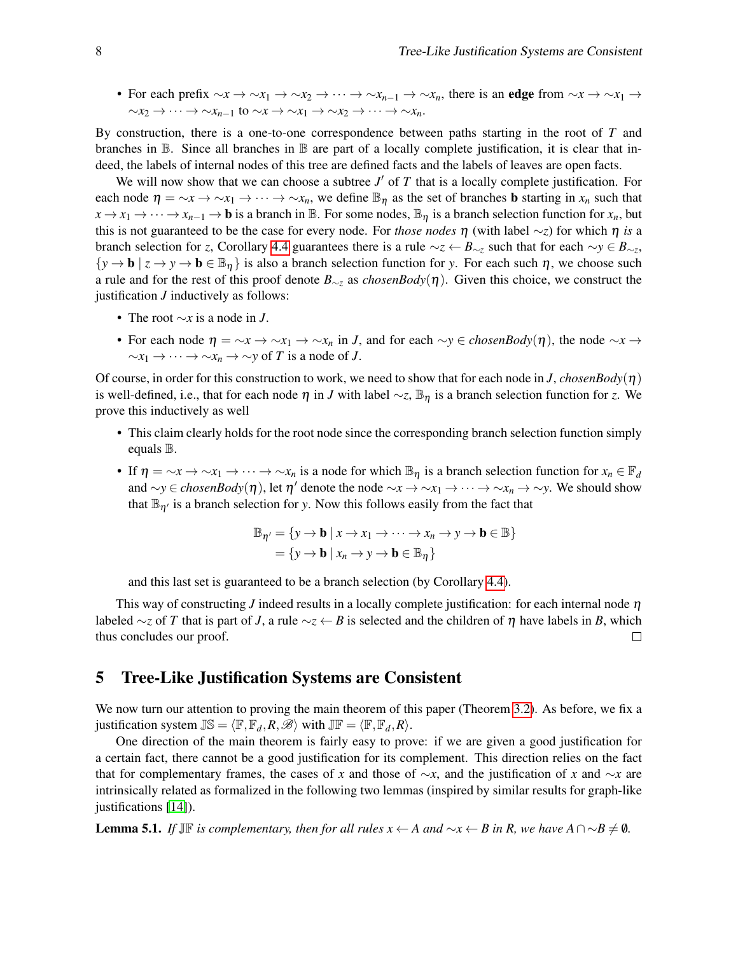• For each prefix  $\sim x \rightarrow \sim x_1 \rightarrow \sim x_2 \rightarrow \cdots \rightarrow \sim x_{n-1} \rightarrow \sim x_n$ , there is an edge from  $\sim x \rightarrow \sim x_1 \rightarrow$  $\sim x_2 \rightarrow \cdots \rightarrow \sim x_{n-1}$  to  $\sim x \rightarrow \sim x_1 \rightarrow \sim x_2 \rightarrow \cdots \rightarrow \sim x_n$ .

By construction, there is a one-to-one correspondence between paths starting in the root of *T* and branches in  $\mathbb B$ . Since all branches in  $\mathbb B$  are part of a locally complete justification, it is clear that indeed, the labels of internal nodes of this tree are defined facts and the labels of leaves are open facts.

We will now show that we can choose a subtree  $J'$  of  $T$  that is a locally complete justification. For each node  $\eta = \gamma x \to \gamma x_1 \to \cdots \to \gamma x_n$ , we define  $\mathbb{B}_{\eta}$  as the set of branches **b** starting in  $x_n$  such that  $x \to x_1 \to \cdots \to x_{n-1} \to \mathbf{b}$  is a branch in  $\mathbb{B}$ . For some nodes,  $\mathbb{B}_\eta$  is a branch selection function for  $x_n$ , but this is not guaranteed to be the case for every node. For *those nodes*  $\eta$  (with label  $\sim$ *z*) for which  $\eta$  *is* a branch selection for *z*, Corollary [4.4](#page-6-5) guarantees there is a rule  $\sim$ *z* ←  $B_{\sim z}$  such that for each  $\sim$ *y* ∈  $B_{\sim z}$ ,  ${y \to \mathbf{b} \mid z \to y \to \mathbf{b} \in \mathbb{B}_{\eta}}$  is also a branch selection function for *y*. For each such  $\eta$ , we choose such a rule and for the rest of this proof denote *B*∼*<sup>z</sup>* as *chosenBody*(η). Given this choice, we construct the justification *J* inductively as follows:

- The root ∼*x* is a node in *J*.
- For each node  $\eta = \gamma x \to \gamma x_1 \to \gamma x_n$  in *J*, and for each  $\gamma y \in \mathit{chosenBody}(\eta)$ , the node  $\gamma x \to \gamma x_n$  $\sim$ *x*<sub>1</sub> → ··· →  $\sim$ *x<sub>n</sub>* →  $\sim$ *y* of *T* is a node of *J*.

Of course, in order for this construction to work, we need to show that for each node in *J*, *chosenBody*( $\eta$ ) is well-defined, i.e., that for each node  $\eta$  in *J* with label  $\sim$ *z*,  $\mathbb{B}_\eta$  is a branch selection function for *z*. We prove this inductively as well

- This claim clearly holds for the root node since the corresponding branch selection function simply equals B.
- If  $\eta = \gamma x \to \gamma x_1 \to \cdots \to \gamma x_n$  is a node for which  $\mathbb{B}_\eta$  is a branch selection function for  $x_n \in \mathbb{F}_d$ and  $\sim$ *y* ∈ *chosenBody*( $\eta$ ), let  $\eta'$  denote the node  $\sim$ *x* →  $\sim$ *x*<sub>1</sub> →  $\cdots$  →  $\sim$ *x<sub>n</sub>* →  $\sim$ *y*. We should show that  $\mathbb{B}_{n'}$  is a branch selection for *y*. Now this follows easily from the fact that

$$
\mathbb{B}_{\eta'} = \{ y \to \mathbf{b} \mid x \to x_1 \to \cdots \to x_n \to y \to \mathbf{b} \in \mathbb{B} \}
$$
  
=  $\{ y \to \mathbf{b} \mid x_n \to y \to \mathbf{b} \in \mathbb{B}_{\eta} \}$ 

and this last set is guaranteed to be a branch selection (by Corollary [4.4\)](#page-6-5).

This way of constructing *J* indeed results in a locally complete justification: for each internal node η labeled ∼*z* of *T* that is part of *J*, a rule ∼*z* ← *B* is selected and the children of η have labels in *B*, which thus concludes our proof.  $\Box$ 

## <span id="page-7-0"></span>5 Tree-Like Justification Systems are Consistent

We now turn our attention to proving the main theorem of this paper (Theorem [3.2\)](#page-5-1). As before, we fix a justification system  $\mathbb{JS} = \langle \mathbb{F}, \mathbb{F}_d, R, \mathcal{B} \rangle$  with  $\mathbb{J}\mathbb{F} = \langle \mathbb{F}, \mathbb{F}_d, R \rangle$ .

One direction of the main theorem is fairly easy to prove: if we are given a good justification for a certain fact, there cannot be a good justification for its complement. This direction relies on the fact that for complementary frames, the cases of *x* and those of ∼*x*, and the justification of *x* and ∼*x* are intrinsically related as formalized in the following two lemmas (inspired by similar results for graph-like justifications [\[14\]](#page-10-5)).

<span id="page-7-1"></span>**Lemma 5.1.** *If*  $J\mathbb{F}$  *is complementary, then for all rules*  $x \leftarrow A$  *and*  $\sim x \leftarrow B$  *in R, we have*  $A \cap \sim B \neq \emptyset$ *.*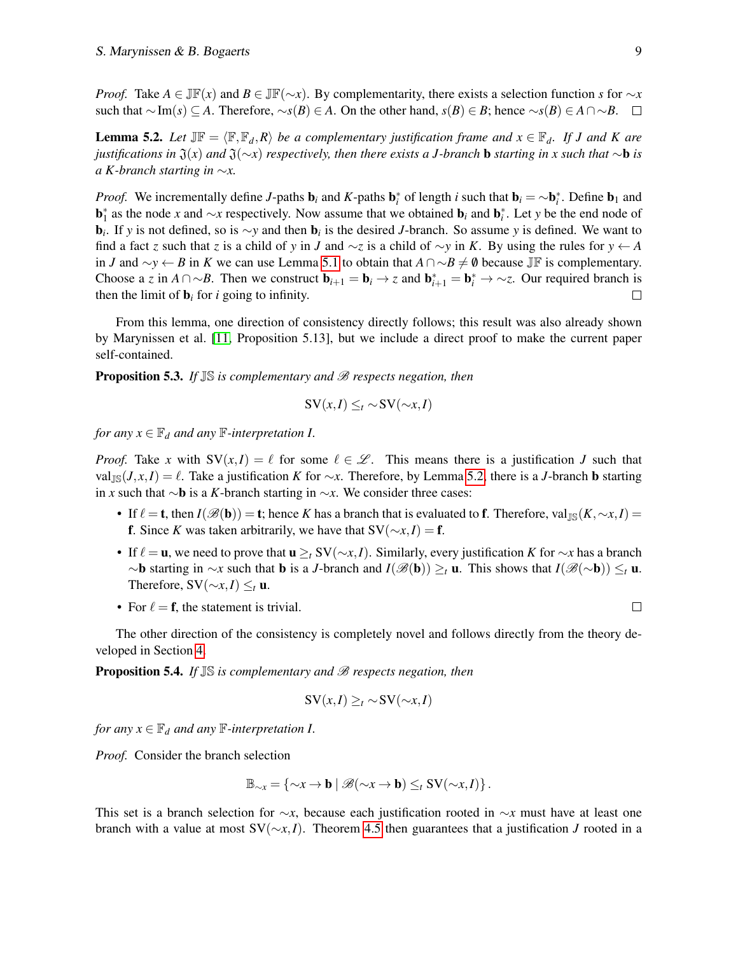*Proof.* Take  $A \in \mathbb{J}\mathbb{F}(x)$  and  $B \in \mathbb{J}\mathbb{F}(\sim x)$ . By complementarity, there exists a selection function *s* for  $\sim x$ such that  $\sim$ Im(*s*) ⊆ *A*. Therefore,  $\sim$ *s*(*B*) ∈ *A*. On the other hand, *s*(*B*) ∈ *B*; hence  $\sim$ *s*(*B*) ∈ *A* ∩ ∼*B*. □

<span id="page-8-0"></span>**Lemma 5.2.** Let  $J\mathbb{F} = \langle \mathbb{F}, \mathbb{F}_d, R \rangle$  *be a complementary justification frame and*  $x \in \mathbb{F}_d$ *. If J and K are justifications in*  $\mathfrak{J}(x)$  *and*  $\mathfrak{J}(\sim x)$  *respectively, then there exists a J-branch* **b** *starting in x such that* ∼**b** *is a K-branch starting in* ∼*x.*

*Proof.* We incrementally define *J*-paths  $\mathbf{b}_i$  and *K*-paths  $\mathbf{b}_i^*$  of length *i* such that  $\mathbf{b}_i = \sim \mathbf{b}_i^*$ . Define  $\mathbf{b}_1$  and **b**<sup>\*</sup><sub>1</sub> as the node *x* and ∼*x* respectively. Now assume that we obtained **b**<sub>*i*</sub> and **b**<sup>\*</sup><sub>*i*</sub>. Let *y* be the end node of b*i* . If *y* is not defined, so is ∼*y* and then b*<sup>i</sup>* is the desired *J*-branch. So assume *y* is defined. We want to find a fact *z* such that *z* is a child of *y* in *J* and ∼*z* is a child of ∼*y* in *K*. By using the rules for *y* ← *A* in *J* and  $\sim$ *y* ← *B* in *K* we can use Lemma [5.1](#page-7-1) to obtain that  $A \cap \sim B \neq \emptyset$  because JF is complementary. Choose a *z* in  $A \cap \neg B$ . Then we construct  $\mathbf{b}_{i+1} = \mathbf{b}_i \rightarrow z$  and  $\mathbf{b}_{i+1}^* = \mathbf{b}_i^* \rightarrow \neg z$ . Our required branch is then the limit of  $\mathbf{b}_i$  for *i* going to infinity.

From this lemma, one direction of consistency directly follows; this result was also already shown by Marynissen et al. [\[11,](#page-10-3) Proposition 5.13], but we include a direct proof to make the current paper self-contained.

<span id="page-8-1"></span>**Proposition 5.3.** *If*  $\mathbb{IS}$  *is complementary and*  $\mathscr{B}$  *respects negation, then* 

$$
SV(x,I) \leq_t \sim SV(\sim x,I)
$$

*for any*  $x \in \mathbb{F}_d$  *and any*  $\mathbb{F}$ *-interpretation I.* 

*Proof.* Take *x* with  $SV(x, I) = \ell$  for some  $\ell \in \mathcal{L}$ . This means there is a justification *J* such that val<sub>IS</sub>(*J*, *x*,*I*) =  $\ell$ . Take a justification *K* for ∼*x*. Therefore, by Lemma [5.2,](#page-8-0) there is a *J*-branch **b** starting in *x* such that ∼b is a *K*-branch starting in ∼*x*. We consider three cases:

- If  $\ell =$  **t**, then  $I(\mathscr{B}(\mathbf{b})) =$  **t**; hence *K* has a branch that is evaluated to **f**. Therefore, val<sub>JS</sub>(*K*,∼*x*,*I*) = f. Since *K* was taken arbitrarily, we have that  $SV(\sim x, I) = f$ .
- If  $\ell = \mathbf{u}$ , we need to prove that  $\mathbf{u} \geq_t \mathrm{SV}(\sim_x, I)$ . Similarly, every justification *K* for  $\sim_x$  has a branch ∼b starting in ∼*x* such that b is a *J*-branch and *I*(B(b)) ≥*<sup>t</sup>* u. This shows that *I*(B(∼b)) ≤*<sup>t</sup>* u. Therefore,  $SV(\sim x, I) \leq t$  u.
- For  $\ell = \mathbf{f}$ , the statement is trivial.

 $\Box$ 

The other direction of the consistency is completely novel and follows directly from the theory developed in Section [4.](#page-5-0)

<span id="page-8-2"></span>**Proposition 5.4.** *If*  $\mathbb{JS}$  *is complementary and*  $\mathscr{B}$  *respects negation, then* 

$$
SV(x,I) \geq_t \sim SV(\sim x,I)
$$

*for any*  $x \in \mathbb{F}_d$  *and any*  $\mathbb{F}$ *-interpretation I.* 

*Proof.* Consider the branch selection

$$
\mathbb{B}_{\sim x} = \{\sim x \to \mathbf{b} \mid \mathscr{B}(\sim x \to \mathbf{b}) \leq_t \mathrm{SV}(\sim x, I) \}.
$$

This set is a branch selection for ∼*x*, because each justification rooted in ∼*x* must have at least one branch with a value at most SV(∼*x*,*I*). Theorem [4.5](#page-6-0) then guarantees that a justification *J* rooted in a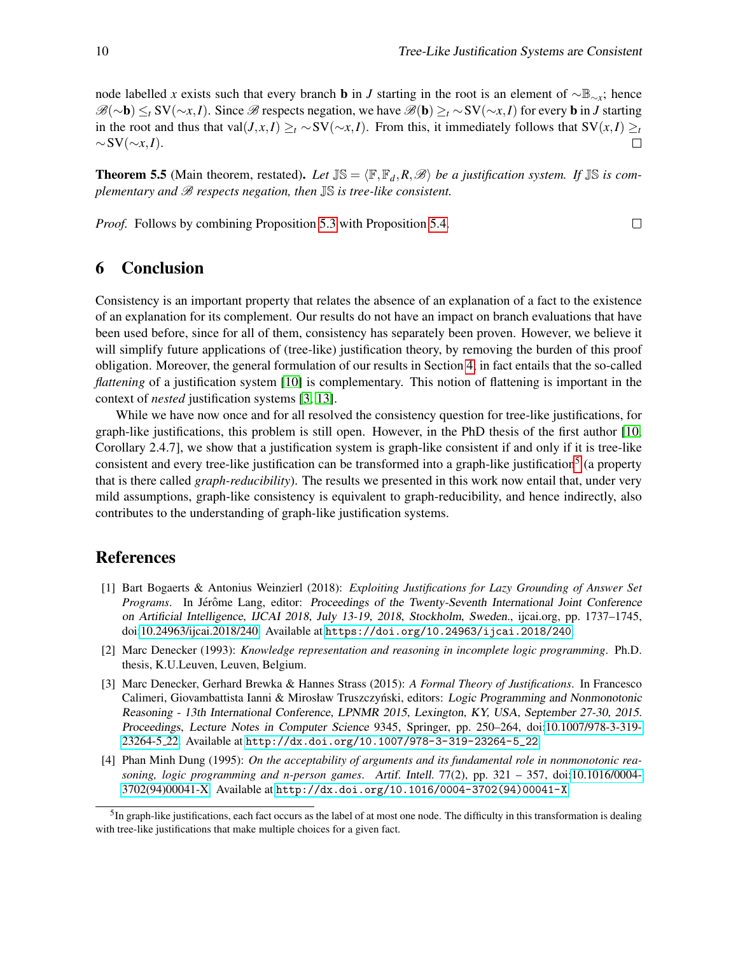node labelled *x* exists such that every branch **b** in *J* starting in the root is an element of  $\sim \mathbb{B}_{\sim x}$ ; hence B(∼b) ≤*<sup>t</sup>* SV(∼*x*,*I*). Since B respects negation, we have B(b) ≥*<sup>t</sup>* ∼SV(∼*x*,*I*) for every b in *J* starting in the root and thus that val $(J, x, I) \geq t \sim SV(\sim x, I)$ . From this, it immediately follows that  $SV(x, I) \geq t$  $\sim$ SV( $\sim$ *x*,*I*).

**Theorem 5.5** (Main theorem, restated). Let  $\mathbb{IS} = \langle \mathbb{F}, \mathbb{F}_d, R, \mathcal{B} \rangle$  be a justification system. If  $\mathbb{IS}$  is com*plementary and* B *respects negation, then* JS *is tree-like consistent.*

*Proof.* Follows by combining Proposition [5.3](#page-8-1) with Proposition [5.4.](#page-8-2)

 $\Box$ 

## <span id="page-9-4"></span>6 Conclusion

Consistency is an important property that relates the absence of an explanation of a fact to the existence of an explanation for its complement. Our results do not have an impact on branch evaluations that have been used before, since for all of them, consistency has separately been proven. However, we believe it will simplify future applications of (tree-like) justification theory, by removing the burden of this proof obligation. Moreover, the general formulation of our results in Section [4,](#page-5-0) in fact entails that the so-called *flattening* of a justification system [\[10\]](#page-10-7) is complementary. This notion of flattening is important in the context of *nested* justification systems [\[3,](#page-9-0) [13\]](#page-10-4).

While we have now once and for all resolved the consistency question for tree-like justifications, for graph-like justifications, this problem is still open. However, in the PhD thesis of the first author [\[10,](#page-10-7) Corollary 2.4.7], we show that a justification system is graph-like consistent if and only if it is tree-like consistent and every tree-like justification can be transformed into a graph-like justification<sup>[5](#page-9-5)</sup> (a property that is there called *graph-reducibility*). The results we presented in this work now entail that, under very mild assumptions, graph-like consistency is equivalent to graph-reducibility, and hence indirectly, also contributes to the understanding of graph-like justification systems.

## References

- <span id="page-9-1"></span>[1] Bart Bogaerts & Antonius Weinzierl (2018): *Exploiting Justifications for Lazy Grounding of Answer Set Programs*. In Jérôme Lang, editor: *Proceedings of the Twenty-Seventh International Joint Conference* on Artificial Intelligence, IJCAI 2018, July 13-19, 2018, Stockholm, Sweden., ijcai.org, pp. 1737–1745, doi[:10.24963/ijcai.2018/240.](http://dx.doi.org/10.24963/ijcai.2018/240) Available at <https://doi.org/10.24963/ijcai.2018/240>.
- <span id="page-9-2"></span>[2] Marc Denecker (1993): *Knowledge representation and reasoning in incomplete logic programming*. Ph.D. thesis, K.U.Leuven, Leuven, Belgium.
- <span id="page-9-0"></span>[3] Marc Denecker, Gerhard Brewka & Hannes Strass (2015): *A Formal Theory of Justifications*. In Francesco Calimeri, Giovambattista Ianni & Mirosław Truszczyński, editors: Logic Programming and Nonmonotonic Reasoning - 13th International Conference, LPNMR 2015, Lexington, KY, USA, September 27-30, 2015. Proceedings, Lecture Notes in Computer Science 9345, Springer, pp. 250–264, doi[:10.1007/978-3-319-](http://dx.doi.org/10.1007/978-3-319-23264-5_{}22) [23264-5](http://dx.doi.org/10.1007/978-3-319-23264-5_{}22) 22. Available at [http://dx.doi.org/10.1007/978-3-319-23264-5\\_22](http://dx.doi.org/10.1007/978-3-319-23264-5_22).
- <span id="page-9-3"></span>[4] Phan Minh Dung (1995): *On the acceptability of arguments and its fundamental role in nonmonotonic reasoning, logic programming and n-person games*. Artif. Intell. 77(2), pp. 321 – 357, doi[:10.1016/0004-](http://dx.doi.org/10.1016/0004-3702(94)00041-X) [3702\(94\)00041-X.](http://dx.doi.org/10.1016/0004-3702(94)00041-X) Available at [http://dx.doi.org/10.1016/0004-3702\(94\)00041-X](http://dx.doi.org/10.1016/0004-3702(94)00041-X).

<span id="page-9-5"></span> ${}^{5}$ In graph-like justifications, each fact occurs as the label of at most one node. The difficulty in this transformation is dealing with tree-like justifications that make multiple choices for a given fact.